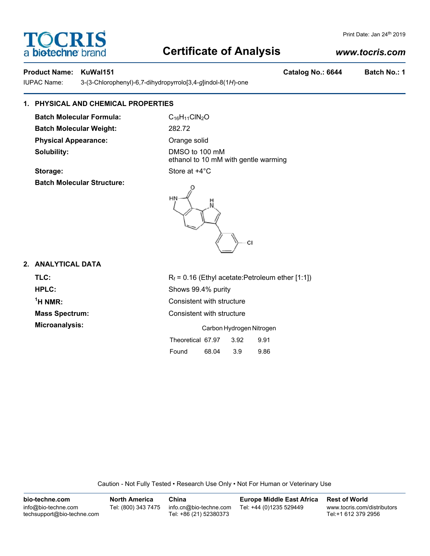# **Certificate of Analysis**

# *www.tocris.com*

**TOCRIS** 

a biotechne bi

IUPAC Name: 3-(3-Chlorophenyl)-6,7-dihydropyrrolo[3,4-*g*]indol-8(1*H*)-one

# **1. PHYSICAL AND CHEMICAL PROPERTIES**

**Batch Molecular Formula:** C<sub>16</sub>H<sub>11</sub>ClN<sub>2</sub>O **Batch Molecular Weight:** 282.72 **Physical Appearance:** Orange solid **Solubility:** DMSO to 100 mM

**Storage:** Store at  $+4^{\circ}$ C **Batch Molecular Structure:**

ethanol to 10 mM with gentle warming





# **2. ANALYTICAL DATA**

| TLC:                  | $R_f$ = 0.16 (Ethyl acetate: Petroleum ether [1:1]) |  |  |  |
|-----------------------|-----------------------------------------------------|--|--|--|
| <b>HPLC:</b>          | Shows 99.4% purity                                  |  |  |  |
| $\rm ^1$ H NMR:       | Consistent with structure                           |  |  |  |
| <b>Mass Spectrum:</b> | Consistent with structure                           |  |  |  |
| Microanalysis:        | Carbon Hydrogen Nitrogen                            |  |  |  |
|                       | Theoretical 67.97<br>3.92<br>9.91                   |  |  |  |

Found 68.04 3.9 9.86

Caution - Not Fully Tested • Research Use Only • Not For Human or Veterinary Use

| bio-techne.com                                    | <b>North America</b> | China                                            | <b>Europe Middle East Africa</b> | <b>Rest of World</b>                               |
|---------------------------------------------------|----------------------|--------------------------------------------------|----------------------------------|----------------------------------------------------|
| info@bio-techne.com<br>techsupport@bio-techne.com | Tel: (800) 343 7475  | info.cn@bio-techne.com<br>Tel: +86 (21) 52380373 | Tel: +44 (0)1235 529449          | www.tocris.com/distributors<br>Tel:+1 612 379 2956 |

**Product Name: KuWal151 Catalog No.: 6644 Batch No.: 1**